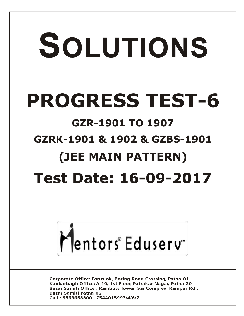# SOLUTIONS **PROGRESS TEST-6 GZR-1901 TO 1907 GZRK-1901 & 1902 & GZBS-1901 (JEE MAIN PATTERN) Test Date: 16-09-2017**



**Corporate Office: Paruslok, Boring Road Crossing, Patna-01** Kankarbagh Office: A-10, 1st Floor, Patrakar Nagar, Patna-20 Bazar Samiti Office: Rainbow Tower, Sai Complex, Rampur Rd., **Bazar Samiti Patna-06** Call: 9569668800 | 7544015993/4/6/7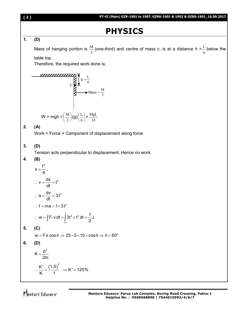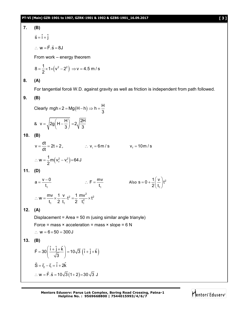# **7. (B)**

$$
\vec{s} = \hat{i} + \hat{j}
$$

$$
\therefore w = \vec{F} \cdot \vec{s} = 8J
$$

From work – energy theorem

$$
8 = \frac{1}{2} \times 1 \times \left(v^2 - 2^2\right) \Rightarrow v = 4.5 \text{ m/s}
$$

**8. (A)**

For tangential forcé W.D. against gravity as well as friction is independent from path followed.

# **9. (B)**

Clearly 
$$
mgh \times 2 = Mg(H-h) \Rightarrow h = \frac{H}{3}
$$

$$
8 \quad v = \sqrt{2g\left(H - \frac{H}{3}\right)} = 2\sqrt{\frac{2H}{3}}
$$

**10. (B)**

$$
v = \frac{dt}{dt} = 2t + 2, \qquad ∴ vi = 6m/s \qquad vf = 10m/s
$$
  
∴ w =  $\frac{1}{2}$ m(v<sub>f</sub><sup>2</sup> - v<sub>i</sub><sup>2</sup>) = 64 J

**11. (D)**

$$
a = \frac{v - 0}{t_1}
$$
  
\n
$$
\therefore F = \frac{mv}{t_1}
$$
  
\n
$$
\therefore W = \frac{mv}{t_1} \times \frac{1}{2} \cdot \frac{v}{t_1} \cdot t^2 = \frac{1}{2} \frac{mv^2}{t_1^2} \times t^2
$$
  
\nAlso  $s = 0 + \frac{1}{2} \left(\frac{v}{t_1}\right) t^2$ 

**12. (A)**

Displacement = Area = 50 m (using similar angle trianyle) Force = mass  $\times$  acceleration = mass  $\times$  slope = 6 N  $\therefore w = 6 \times 50 = 300 \text{ J}$ 

**13. (B)**

$$
\vec{F} = 30 \left( \frac{\hat{i} + \hat{j} + \hat{k}}{\sqrt{3}} \right) = 10\sqrt{3} \left( \hat{i} + \hat{j} + \hat{k} \right)
$$
  

$$
\vec{S} = \vec{r}_2 - \vec{r}_1 = \hat{i} + 2\hat{k}
$$
  

$$
\therefore w = \vec{F} \cdot \vec{s} = 10\sqrt{3} (1 + 2) = 30\sqrt{3} J
$$

**Mentors Eduserv: Parus Lok Complex, Boring Road Crossing, Patna-1 Helpline No. : 9569668800 | 7544015993/4/6/7**

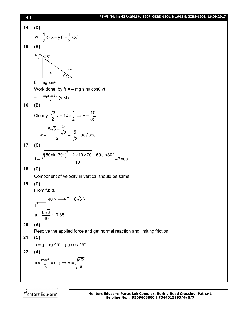## **[ 4 ] PT-VI (Main) GZR-1901 to 1907, GZRK-1901 & 1902 & GZBS-1901\_16.09.2017**

**14. (D)** <sup>2</sup> 1 1 <sup>2</sup> w k x y k x 2 2 **15. (B)** f<sup>r</sup> = mg sin Work done by fr = – mg sin cos vt = – 2 mg sin 2 (v ×t) **16. (B)** Clearly 3 1 10 v 10 v 2 2 3 5 5 3 2 5 w rad / sec 2 3 **17. (C)** 2 o o 50sin 30 2 10 70 50sin30 t 7sec 10 **18. (C)** Component of velocity in vertical should be same. **19. (D)** From f.b.d. 8 3 0.35 40 **20. (A)** Resolve the applied force and get normal reaction and limiting friction **21. (C)** o o a gsing 45 g cos 45 **22. (A)** u v fr m 40 N f T 8 3 N

$$
\mu \times \frac{mv^2}{R} = mg \implies v = \sqrt{\frac{gR}{m}}
$$

 $\mu$ 

R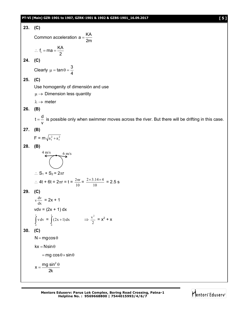## **PT-VI (Main) GZR-1901 to 1907, GZRK-1901 & 1902 & GZBS-1901\_16.09.2017 [ 5 ]**



Mentors Eduserv<sup>®</sup>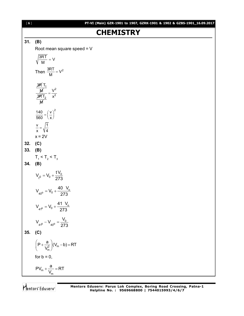| [6] | PT-VI (Main) GZR-1901 to 1907, GZRK-1901 & 1902 & GZBS-1901_16.09.2017 |
|-----|------------------------------------------------------------------------|
|     | <b>CHEMISTRY</b>                                                       |
| 31. | (B)                                                                    |
|     | Root mean square speed $= V$                                           |
|     | $\sqrt{\frac{3RT}{M}}$ = V                                             |
|     | Then $\frac{3RT}{M} = V^2$                                             |
|     | $\frac{\frac{3RT_1}{M}}{\frac{3RT_2}{M}} = \frac{V^2}{x^2}$            |
|     | $\frac{140}{560} = \left(\frac{v}{x}\right)^2$                         |
|     | $\frac{v}{x} = \sqrt{\frac{1}{4}}$                                     |
|     | $x = 2V$                                                               |
| 32. | (C)                                                                    |
| 33. | (B)                                                                    |
|     | $T_1 < T_2 < T_3$                                                      |
| 34. | (B)                                                                    |
|     | $V_{t^0} = V_0 + \frac{tV_0}{273}$                                     |
|     | $V_{_{40^{\circ}}} = V_0 + \frac{40 V_0}{273}$                         |
|     | $V_{41^0} = V_0 + \frac{41 V_0}{273}$                                  |
|     | $V_{41^0} - V_{40^0} = \frac{V_0}{273}$                                |
| 35. | (C)                                                                    |
|     | $\left(P+\frac{a}{V_m^2}\right)(V_m-b)=RT$                             |
|     | for $b = 0$ ,                                                          |
|     | $PV_m + \frac{a}{V_m} = RT$                                            |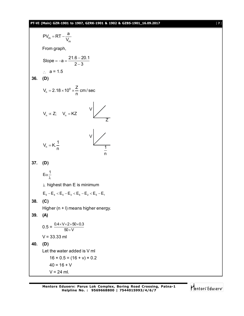## **PT-VI (Main) GZR-1901 to 1907, GZRK-1901 & 1902 & GZBS-1901\_16.09.2017** [ **7** ]

$$
PV_{m} = RT - \frac{a}{V_{m}}
$$
  
From graph,  
Slope = -a =  $\frac{21.6 - 20.1}{2 - 3}$   
 $\therefore$  a = 1.5  
36. (D)  
 $V_{n} = 2.18 \times 10^{8} \times \frac{Z}{n}$  cm/sec  
 $V_{n} \propto Z$ ;  $V_{n} = KZ$   
 $V_{n} = K \cdot \frac{1}{n}$   
37. (D)  
 $E\alpha \frac{1}{\lambda}$   
 $\lambda$  highest than E is minimum  
 $E_{s} - E_{4} < E_{s} - E_{3} < E_{s} - E_{2} < E_{s} - E_{1}$   
38. (C)  
Higher (n + 1) means higher energy.  
39. (A)  
0.5 =  $\frac{0.4 \times V \times 2 + 50 \times 0.3}{50 + V}$   
 $V = 33.33$  ml  
40. (D)  
Let the water added is V ml  
16 × 0.5 = (16 + v) × 0.2  
40 = 16 + V  
 $V = 24$  ml.

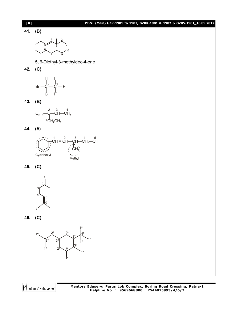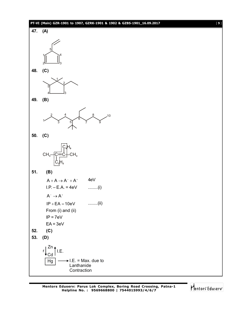



**48. (C)**



**49. (B)**



**50. (C)**



**51. (B)**

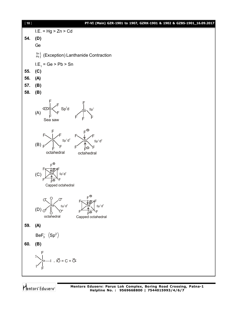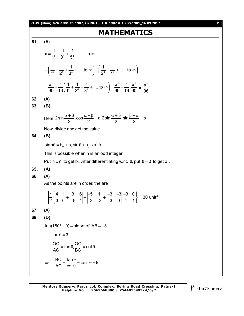#### **PT-VI (Main) GZR-1901 to 1907, GZRK-1901 & 1902 & GZBS-1901\_16.09.2017** [ **11** ]

# **MATHEMATICS**

**61. (A)**  $x = \frac{1}{1^4} + \frac{1}{2^4} + \frac{1}{5^4} + \dots$  to  $1^4$   $3^4$   $5^4$  $=\frac{1}{44} + \frac{1}{64} + \frac{1}{44} + \dots$  to  $\infty$  $\frac{1}{14} + \frac{1}{24} + \frac{1}{34} + \dots$  to  $\infty$   $-\left(\frac{1}{24} + \frac{1}{44} + \dots \right)$  to  $1^4$   $2^4$   $3^4$   $1^2$   $2^4$   $4^2$  $=\left(\frac{1}{1^4}+\frac{1}{2^4}+\frac{1}{3^4}+\dots 10\infty\right)-\left(\frac{1}{2^4}+\frac{1}{4^4}+\dots 10\infty\right)$  $4$   $1$   $(1$   $1$   $1$   $1$   $\frac{1}{2}$   $4$   $1$   $\frac{1}{2}$  $\frac{1}{16}$  $\left(\frac{1}{14} + \frac{1}{24} + \frac{1}{34} + \dots \text{to } \infty\right) = \frac{\pi^4}{90} - \frac{1}{16} \cdot \frac{\pi^5}{6}$  $90$  16 $\binom{1^4}{2^4}$   $3^4$  ,  $90$  16  $90$  $=\frac{\pi^4}{90}-\frac{1}{16}\left(\frac{1}{1^4}+\frac{1}{2^4}+\frac{1}{3^4}+\dots\text{ to } \infty\right)=\frac{\pi^4}{90}-\frac{1}{16}\cdot\frac{\pi^4}{90}=\frac{\pi^4}{96}$ 96  $\pi$ **62. (A) 63. (B)** Here  $2 \sin \frac{\pi + p}{2} \cdot \cos \frac{\pi}{2} = a$ ,  $2 \sin \frac{\pi + p}{2} \cdot \sin \frac{p - \pi}{2} = b$  $\frac{\alpha+\beta}{2}$ .cos  $\frac{\alpha-\beta}{2}$  = a, 2 sin  $\frac{\alpha+\beta}{2}$ . sin  $\frac{\beta-\alpha}{2}$  = t Now, divide and get the value **64. (B)**  $\sin n\theta = b_0 + b_1 \sin \theta + b_2 \sin^2 \theta + \dots$ This is possible when n is an odd integer. Put  $\theta = 0$  to get  $b_0$ . After differentiating w.r.t.  $\theta$ , put  $\theta = 0$  to get  $b_1$ . **65. (A) 66. (A)** As the points are in order, the are  $\begin{bmatrix} 1 & 4 & 1 \\ 2 & 3 & 6 \\ 3 & 2 & 1 \end{bmatrix} + \begin{bmatrix} 3 & 6 \\ 2 & 1 \end{bmatrix} + \begin{bmatrix} -5 & 1 \\ 2 & 3 \end{bmatrix} + \begin{bmatrix} -3 & -3 \\ 2 & 3 \end{bmatrix} - \begin{bmatrix} -3 & 0 \\ 3 & 2 \end{bmatrix} = 30$  unit<sup>2</sup> 2 ||3 6| |-5 1| |-3 -3| |-3 0||4 1|  $\begin{bmatrix} 4 & 1 \end{bmatrix}$   $\begin{bmatrix} 3 & 6 \end{bmatrix}$   $\begin{bmatrix} -5 & 1 \end{bmatrix}$   $\begin{bmatrix} -3 & -3 \end{bmatrix}$   $\begin{bmatrix} -3 & 0 \end{bmatrix}$  $=$  $\frac{1}{2}$  $\begin{vmatrix} 3 & 6 \\ 1 & -5 & 1 \end{vmatrix}$  +  $\begin{vmatrix} -3 & -3 \\ -3 & -1 \end{vmatrix}$  +  $\begin{vmatrix} -3 & 0 \\ -3 & 0 \end{vmatrix}$  4  $\begin{vmatrix} 1 \\ 4 \end{vmatrix}$  = 3 **67. (A) 68. (D)**  $tan(180^\circ - \theta) = slope of AB = -3$  $\therefore$  tan  $\theta = 3$  $\therefore \quad \frac{OC}{AC} = \tan \theta, \frac{OC}{BC} = \cot \theta$  $AC$  BC  $=$  tan  $\theta$ ,  $\frac{88}{100}$  = cot  $\theta$  $\frac{BC}{10} = \frac{\tan \theta}{10} = \tan^2 \theta = 9$ AC cot  $\Rightarrow \frac{BC}{AC} = \frac{\tan \theta}{\cos \theta} = \tan^2 \theta = 9$  $\theta$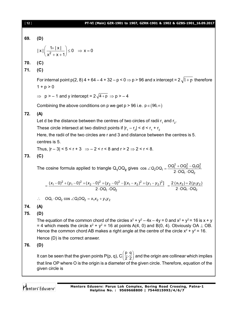| $[12]$ | PT-VI (Main) GZR-1901 to 1907, GZRK-1901 & 1902 & GZBS-1901_16.09.2017                                                                                                                                                                                                                                           |
|--------|------------------------------------------------------------------------------------------------------------------------------------------------------------------------------------------------------------------------------------------------------------------------------------------------------------------|
| 69.    | (D)                                                                                                                                                                                                                                                                                                              |
|        | $ x  \left( \frac{1+ x }{x^2 + x + 1} \right) \le 0 \Rightarrow x = 0$                                                                                                                                                                                                                                           |
| 70.    | (C)                                                                                                                                                                                                                                                                                                              |
| 71.    | (C)                                                                                                                                                                                                                                                                                                              |
|        | For internal point $p(2, 8)$ 4 + 64 - 4 + 32 - p < 0 $\Rightarrow$ p > 96 and x intercept = 2 $\sqrt{1+p}$ therefore<br>$1 + p > 0$                                                                                                                                                                              |
|        | $\Rightarrow$ p > -1 and y intercept = 2 $\sqrt{4+p}$ $\Rightarrow$ p > -4                                                                                                                                                                                                                                       |
|        | Combining the above conditions on p we get $p > 96$ i.e. $p \in (96, \infty)$                                                                                                                                                                                                                                    |
| 72.    | (A)                                                                                                                                                                                                                                                                                                              |
|        | Let d be the distance between the centres of two circles of radii $r_1$ and $r_2$ .                                                                                                                                                                                                                              |
|        | These circle intersect at two distinct points if $ r_1 - r_2  < d < r_1 + r_2$                                                                                                                                                                                                                                   |
|        | Here, the radii of the two circles are r and 3 and distance between the centres is 5.                                                                                                                                                                                                                            |
|        | centres is 5.                                                                                                                                                                                                                                                                                                    |
|        | Thus, $ r-3  < 5 < r+3 \implies -2 < r < 8$ and $r > 2 \implies 2 < r < 8$ .                                                                                                                                                                                                                                     |
| 73.    | (C)                                                                                                                                                                                                                                                                                                              |
|        | The cosine formula applied to triangle $Q_1OQ_2$ gives $\cos \angle Q_2OQ_1 = \frac{OQ_1^2 + OQ_2^2 - Q_1Q_2^2}{2 \cdot OQ_1 \cdot OQ_2}$                                                                                                                                                                        |
|        | $=\frac{(x_1-0)^2+(y_1-0)^2+(x_2-0)^2+(y_2-0)^2-[(x_1-x_2)^2+(y_1-y_2)^2]}{2\cdot OQ_1\cdot OQ_2} = \frac{2(x_1x_2)+2(y_1y_2)}{2\cdot OQ_1\cdot OQ_2}$                                                                                                                                                           |
|        | $OQ_1 \cdot OQ_2 \cos \angle Q_1 OQ_2 = x_1x_2 + y_1y_2$                                                                                                                                                                                                                                                         |
| 74.    | (A)                                                                                                                                                                                                                                                                                                              |
| 75.    | (D)                                                                                                                                                                                                                                                                                                              |
|        | The equation of the common chord of the circles $x^2 + y^2 - 4x - 4y = 0$ and $x^2 + y^2 = 16$ is $x + y$<br>= 4 which meets the circle $x^2 + y^2 = 16$ at points A(4, 0) and B(0, 4). Obviously OA $\perp$ OB.<br>Hence the common chord AB makes a right angle at the centre of the circle $x^2 + y^2 = 16$ . |
|        | Hence (D) is the correct answer.                                                                                                                                                                                                                                                                                 |
| 76.    | (D)                                                                                                                                                                                                                                                                                                              |
|        | It can be seen that the given points P(p, q), $C(\frac{p}{2},\frac{q}{2})$ and the origin are collinear which implies                                                                                                                                                                                            |
|        | that line OP where O is the origin is a diameter of the given circle. Therefore, equation of the<br>given circle is                                                                                                                                                                                              |
|        |                                                                                                                                                                                                                                                                                                                  |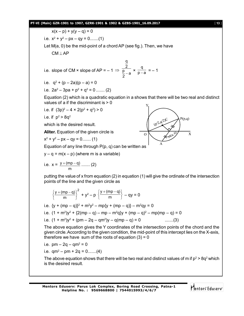### **PT-VI (Main) GZR-1901 to 1907, GZRK-1901 & 1902 & GZBS-1901\_16.09.2017** [ **13** ]

$$
x(x - p) + y(y - q) = 0
$$

i.e.  $x^2 + y^2 - px - qy = 0$ .......(1)

Let M(a, 0) be the mid-point of a chord AP (see fig.). Then, we have  $CM \perp AP$ 

i.e. slope of CM × slope of AP = -1 
$$
\Rightarrow \frac{\frac{q}{2}}{\frac{p}{2}-a} \times \frac{q}{p-a} = -1
$$

i.e.  $q^2 + (p - 2a)(p - a) = 0$ 

i.e. 
$$
2a^2 - 3pa + p^2 + q^2 = 0
$$
 ...... (2)

Equation (2) which is a quadratic equation in a shows that there will be two real and distinct values of a if the discriminant is > 0

i.e. if 
$$
(3p)^2 - 4 \times 2(p^2 + q^2) > 0
$$

i.e. if  $p^2 > 8q^2$ 

which is the desired result.

**Aliter.** Equation of the given circle is

$$
x^2 + y^2 - px - qy = 0 \dots (1)
$$



Equation of any line through  $P(p, q)$  can be written as

 $y - q = m(x - p)$  (where m is a variable)

i.e. 
$$
x = \frac{y + (mp - q)}{m}
$$
 ...... (2)

putting the value of x from equation (2) in equation (1) will give the ordinate of the intersection points of the line and the given circle as

$$
\left\{\frac{y+(mp-q)}{m}\right\}^2+y^2-p\left\{\frac{y+(mp-q)}{m}\right\}-qy=0
$$

i.e.  $\{y + (mp - q)\}^2 + m^2y^2 - mp\{y + (mp - q)\} - m^2qy = 0$ 

i.e. 
$$
(1 + m^2)y^2 + {2(mp - q) - mp - m^2q}y + (mp - q)^2 - mp(mp - q) = 0
$$

i.e. 
$$
(1 + m^2)y^2 + (pm - 2q - qm^2)y - q(mp - q) = 0
$$
 ......(3)

The above equation gives the Y coordinates of the intersection points of the chord and the given circle. According to the given condition, the mid-point of this intercept lies on the X-axis, therefore we have sum of the roots of equation  $(3) = 0$ 

i.e.  $\,rm pm-2q-qm^2=0$ 

i.e.  $qm^2-pm+2q=0......(4)$ 

The above equation shows that there will be two real and distinct values of m if  $p^2$  > 8q<sup>2</sup> which is the desired result.

Mentors Eduserv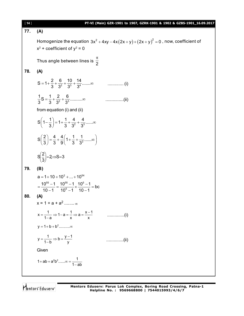| $[14]$ | PT-VI (Main) GZR-1901 to 1907, GZRK-1901 & 1902 & GZBS-1901_16.09.2017                                             |
|--------|--------------------------------------------------------------------------------------------------------------------|
| 77.    | (A)                                                                                                                |
|        | Homogenize the equation $3x^2 + 4xy - 4x(2x + y) + (2x + y)^2 = 0$ , now, coefficient of                           |
|        | $x^2$ + coefficient of $y^2$ = 0                                                                                   |
|        | Thus angle between lines is $\frac{\pi}{2}$                                                                        |
| 78.    | (A)                                                                                                                |
|        | $\ldots$ (i)                                                                                                       |
|        |                                                                                                                    |
|        | from equation (i) and (ii)                                                                                         |
|        | $S\left(1-\frac{1}{3}\right)=1+\frac{1}{3}+\frac{4}{3^2}+\frac{4}{3^3}$ $\infty$                                   |
|        | $S\left(\frac{2}{3}\right) = \frac{4}{3} + \frac{4}{9}\left(1 + \frac{1}{3} + \frac{1}{3^2} + \dots \infty\right)$ |
|        | $S\left(\frac{2}{3}\right) = 2 \implies S = 3$                                                                     |
| 79.    | (B)                                                                                                                |
|        | $a = 1 + 10 + 10^2 +  + 10^{54}$                                                                                   |
|        | $=\frac{10^{55}-1}{10-1}=\frac{10^{55}-1}{10^5-1}\times\frac{10^5-1}{10-1}=bc$                                     |
| 80.    | (A)                                                                                                                |
|        | $x = 1 + a + a2$ $\infty$                                                                                          |
|        | $x = \frac{1}{1-a} \Rightarrow 1-a = \frac{1}{x} \Rightarrow a = \frac{x-1}{x}$                                    |
|        |                                                                                                                    |
|        | $y = \frac{1}{1-b} \Rightarrow b = \frac{y-1}{v}$<br>(ii)                                                          |
|        | Given                                                                                                              |
|        | 1+ab + $a^2b^2$ $\infty = \frac{1}{1 - ab}$                                                                        |
|        |                                                                                                                    |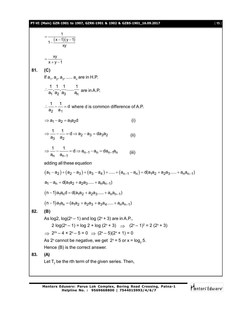# **PT-VI (Main) GZR-1901 to 1907, GZRK-1901 & 1902 & GZBS-1901\_16.09.2017** [ **15** ]

$$
\frac{1}{1-(x-1)(y-1)}
$$
  
\n
$$
= \frac{xy}{x+y-1}
$$
  
\n81. (C)  
\nIf a<sub>1</sub>, a<sub>2</sub>, a<sub>3</sub>,..... a<sub>n</sub> are in H.P.  
\n
$$
\frac{1}{a_1} \cdot \frac{1}{a_2} \cdot \frac{1}{a_3} \dots \frac{1}{a_n}
$$
 are in A.P.  
\n
$$
\frac{1}{a_2} - \frac{1}{a_1} = d
$$
 where d is common difference of A.P.  
\n⇒ a<sub>1</sub> - a<sub>2</sub> = a<sub>1</sub>a<sub>2</sub>d (i)  
\n
$$
\Rightarrow \frac{1}{a_3} - \frac{1}{a_2} = d \Rightarrow a_2 - a_3 = da_3a_2
$$
 (ii)  
\n
$$
\Rightarrow \frac{1}{a_n} - \frac{1}{a_{n-1}} = d \Rightarrow a_{n-1} - a_n = da_{n-1}a_n
$$
 (iii)  
\nadding all these equation  
\n
$$
(a_1 - a_2) + (a_2 - a_3) + (a_3 - a_4) + \dots + (a_{n-1} - a_n) = d(a_1a_2 + a_2a_3 + \dots + a_na_{n-1})
$$
  
\n
$$
a_1 - a_n = d(a_1a_2 + a_2a_3 + \dots + a_na_{n-1})
$$
  
\n
$$
(n-1)a_1a_n = (a_1a_2 + a_2a_3 + \dots + a_na_{n-1})
$$
  
\n
$$
(n-1)a_1a_n = (a_1a_2 + a_2a_3 + \dots + a_na_{n-1})
$$
  
\n82. (B)  
\nAs log2, log(2<sup>x</sup> - 1) and log (2<sup>x</sup> + 3) are in A.P.,  
\n2 log(2<sup>x</sup> - 1) = log 2 + log (2<sup>x</sup> + 3) ⇒ (2<sup>x</sup> - 1)<sup>2</sup> = 2 (2<sup>x</sup> + 3)  
\n⇒ 2<sup>2x</sup> - 4 × 2<sup>x</sup> - 5 = 0 ⇒ (2<sup>x</sup> - 5) = 0  
\nAs 2<sup>x</sup> cannot be negative, we get 2<sup>x</sup> = 5 or x =

Mentors<sup>e</sup> Eduserv<sup>-</sup>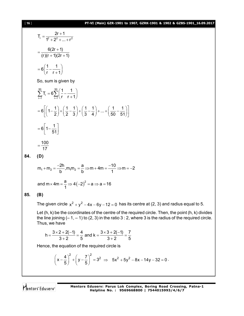## [ **16** ] **PT-VI (Main) GZR-1901 to 1907, GZRK-1901 & 1902 & GZBS-1901\_16.09.2017**

$$
T_{r} = \frac{2r+1}{1^{2} + 2^{2} + ... + r^{2}}
$$
\n
$$
= \frac{6(2r+1)}{(r)(r+1)(2r+1)}
$$
\n
$$
= 6\left(\frac{1}{r} - \frac{1}{r+1}\right)
$$
\nSo, sum is given by\n
$$
\sum_{r=1}^{50} T_{r} = 6\sum_{r=1}^{50} \left(\frac{1}{r} - \frac{1}{r+1}\right)
$$
\n
$$
= 6\left[\left(1 - \frac{1}{2}\right) + \left(\frac{1}{2} - \frac{1}{3}\right) + \left(\frac{1}{3} - \frac{1}{4}\right) + ... + \left(\frac{1}{50} - \frac{1}{51}\right)\right]
$$
\n
$$
= 6\left[1 - \frac{1}{51}\right]
$$
\n
$$
= \frac{100}{17}
$$
\n(D)

$$
m_1 + m_2 = \frac{-2h}{b}, m_1 m_2 = \frac{a}{b} \Rightarrow m + 4m = \frac{-10}{1} \Rightarrow m = -2
$$

and 
$$
m \times 4m = \frac{a}{1} \Rightarrow 4(-2)^2 = a \Rightarrow a = 16
$$

## **85. (B)**

**84. (D)**

The given circle  $x^2 + y^2 - 4x - 6y - 12 = 0$  has its centre at (2, 3) and radius equal to 5.

Let (h, k) be the coordinates of the centre of the required circle. Then, the point (h, k) divides the line joining  $(-1, -1)$  to  $(2, 3)$  in the ratio  $3:2$ , where 3 is the radius of the required circle. Thus, we have

$$
h = \frac{3 \times 2 + 2(-1)}{3 + 2} = \frac{4}{5}
$$
 and  $k = \frac{3 \times 3 + 2(-1)}{3 + 2} = \frac{7}{5}$ 

Hence, the equation of the required circle is

$$
\left(x-\frac{4}{5}\right)^2+\left(y-\frac{7}{5}\right)^2=3^2 \Rightarrow 5x^2+5y^2-8x-14y-32=0.
$$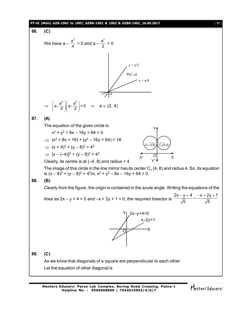## **PT-VI (Main) GZR-1901 to 1907, GZRK-1901 & 1902 & GZBS-1901\_16.09.2017** [ **17** ]